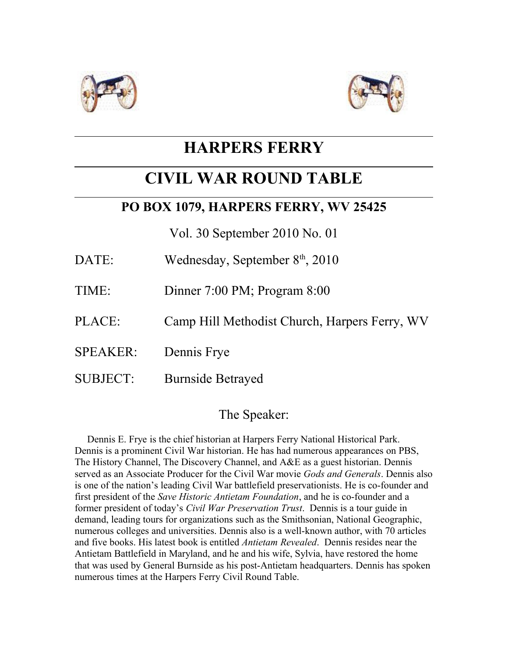



# **HARPERS FERRY**

## **CIVIL WAR ROUND TABLE**

### **PO BOX 1079, HARPERS FERRY, WV 25425**

Vol. 30 September 2010 No. 01

- DATE: Wednesday, September  $8<sup>th</sup>$ , 2010
- TIME: Dinner 7:00 PM; Program 8:00
- PLACE: Camp Hill Methodist Church, Harpers Ferry, WV
- SPEAKER: Dennis Frye
- SUBJECT: Burnside Betrayed

#### The Speaker:

 Dennis E. Frye is the chief historian at Harpers Ferry National Historical Park. Dennis is a prominent Civil War historian. He has had numerous appearances on PBS, The History Channel, The Discovery Channel, and A&E as a guest historian. Dennis served as an Associate Producer for the Civil War movie *Gods and Generals*. Dennis also is one of the nation's leading Civil War battlefield preservationists. He is co-founder and first president of the *Save Historic Antietam Foundation*, and he is co-founder and a former president of today's *Civil War Preservation Trust*. Dennis is a tour guide in demand, leading tours for organizations such as the Smithsonian, National Geographic, numerous colleges and universities. Dennis also is a well-known author, with 70 articles and five books. His latest book is entitled *Antietam Revealed*. Dennis resides near the Antietam Battlefield in Maryland, and he and his wife, Sylvia, have restored the home that was used by General Burnside as his post-Antietam headquarters. Dennis has spoken numerous times at the Harpers Ferry Civil Round Table.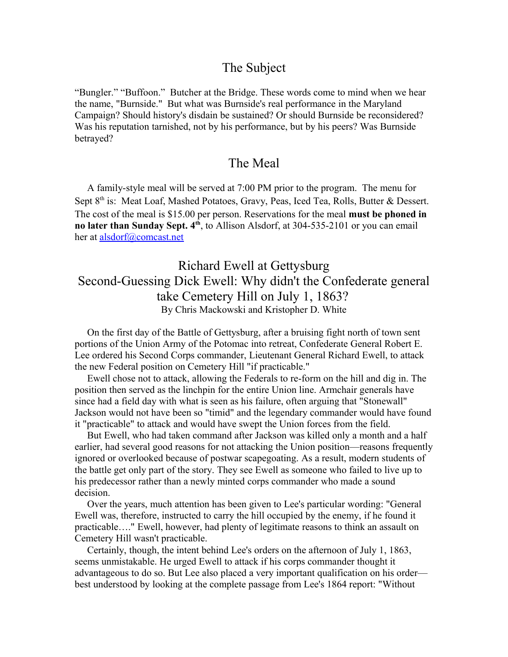#### The Subject

"Bungler." "Buffoon." Butcher at the Bridge. These words come to mind when we hear the name, "Burnside." But what was Burnside's real performance in the Maryland Campaign? Should history's disdain be sustained? Or should Burnside be reconsidered? Was his reputation tarnished, not by his performance, but by his peers? Was Burnside betrayed?

#### The Meal

 A family-style meal will be served at 7:00 PM prior to the program. The menu for Sept 8<sup>th</sup> is: Meat Loaf, Mashed Potatoes, Gravy, Peas, Iced Tea, Rolls, Butter & Dessert. The cost of the meal is \$15.00 per person. Reservations for the meal **must be phoned in no later than Sunday Sept. 4th**, to Allison Alsdorf, at 304-535-2101 or you can email her at [alsdorf@comcast.net](mailto:alsdorf@comcast.net)

#### Richard Ewell at Gettysburg Second-Guessing Dick Ewell: Why didn't the Confederate general take Cemetery Hill on July 1, 1863? By Chris Mackowski and Kristopher D. White

 On the first day of the Battle of Gettysburg, after a bruising fight north of town sent portions of the Union Army of the Potomac into retreat, Confederate General Robert E. Lee ordered his Second Corps commander, Lieutenant General Richard Ewell, to attack the new Federal position on Cemetery Hill "if practicable."

 Ewell chose not to attack, allowing the Federals to re-form on the hill and dig in. The position then served as the linchpin for the entire Union line. Armchair generals have since had a field day with what is seen as his failure, often arguing that "Stonewall" Jackson would not have been so "timid" and the legendary commander would have found it "practicable" to attack and would have swept the Union forces from the field.

 But Ewell, who had taken command after Jackson was killed only a month and a half earlier, had several good reasons for not attacking the Union position—reasons frequently ignored or overlooked because of postwar scapegoating. As a result, modern students of the battle get only part of the story. They see Ewell as someone who failed to live up to his predecessor rather than a newly minted corps commander who made a sound decision.

 Over the years, much attention has been given to Lee's particular wording: "General Ewell was, therefore, instructed to carry the hill occupied by the enemy, if he found it practicable…." Ewell, however, had plenty of legitimate reasons to think an assault on Cemetery Hill wasn't practicable.

 Certainly, though, the intent behind Lee's orders on the afternoon of July 1, 1863, seems unmistakable. He urged Ewell to attack if his corps commander thought it advantageous to do so. But Lee also placed a very important qualification on his order best understood by looking at the complete passage from Lee's 1864 report: "Without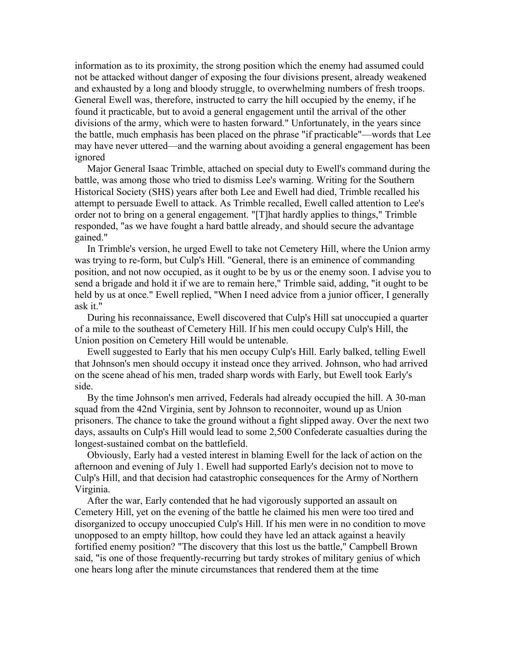information as to its proximity, the strong position which the enemy had assumed could not be attacked without danger of exposing the four divisions present, already weakened and exhausted by a long and bloody struggle, to overwhelming numbers of fresh troops. General Ewell was, therefore, instructed to carry the hill occupied by the enemy, if he found it practicable, but to avoid a general engagement until the arrival of the other divisions of the army, which were to hasten forward." Unfortunately, in the years since the battle, much emphasis has been placed on the phrase "if practicable"—words that Lee may have never uttered—and the warning about avoiding a general engagement has been ignored

 Major General Isaac Trimble, attached on special duty to Ewell's command during the battle, was among those who tried to dismiss Lee's warning. Writing for the Southern Historical Society (SHS) years after both Lee and Ewell had died, Trimble recalled his attempt to persuade Ewell to attack. As Trimble recalled, Ewell called attention to Lee's order not to bring on a general engagement. "[T]hat hardly applies to things," Trimble responded, "as we have fought a hard battle already, and should secure the advantage gained."

 In Trimble's version, he urged Ewell to take not Cemetery Hill, where the Union army was trying to re-form, but Culp's Hill. "General, there is an eminence of commanding position, and not now occupied, as it ought to be by us or the enemy soon. I advise you to send a brigade and hold it if we are to remain here," Trimble said, adding, "it ought to be held by us at once." Ewell replied, "When I need advice from a junior officer, I generally ask it."

 During his reconnaissance, Ewell discovered that Culp's Hill sat unoccupied a quarter of a mile to the southeast of Cemetery Hill. If his men could occupy Culp's Hill, the Union position on Cemetery Hill would be untenable.

 Ewell suggested to Early that his men occupy Culp's Hill. Early balked, telling Ewell that Johnson's men should occupy it instead once they arrived. Johnson, who had arrived on the scene ahead of his men, traded sharp words with Early, but Ewell took Early's side.

 By the time Johnson's men arrived, Federals had already occupied the hill. A 30-man squad from the 42nd Virginia, sent by Johnson to reconnoiter, wound up as Union prisoners. The chance to take the ground without a fight slipped away. Over the next two days, assaults on Culp's Hill would lead to some 2,500 Confederate casualties during the longest-sustained combat on the battlefield.

 Obviously, Early had a vested interest in blaming Ewell for the lack of action on the afternoon and evening of July 1. Ewell had supported Early's decision not to move to Culp's Hill, and that decision had catastrophic consequences for the Army of Northern Virginia.

 After the war, Early contended that he had vigorously supported an assault on Cemetery Hill, yet on the evening of the battle he claimed his men were too tired and disorganized to occupy unoccupied Culp's Hill. If his men were in no condition to move unopposed to an empty hilltop, how could they have led an attack against a heavily fortified enemy position? "The discovery that this lost us the battle," Campbell Brown said, "is one of those frequently-recurring but tardy strokes of military genius of which one hears long after the minute circumstances that rendered them at the time